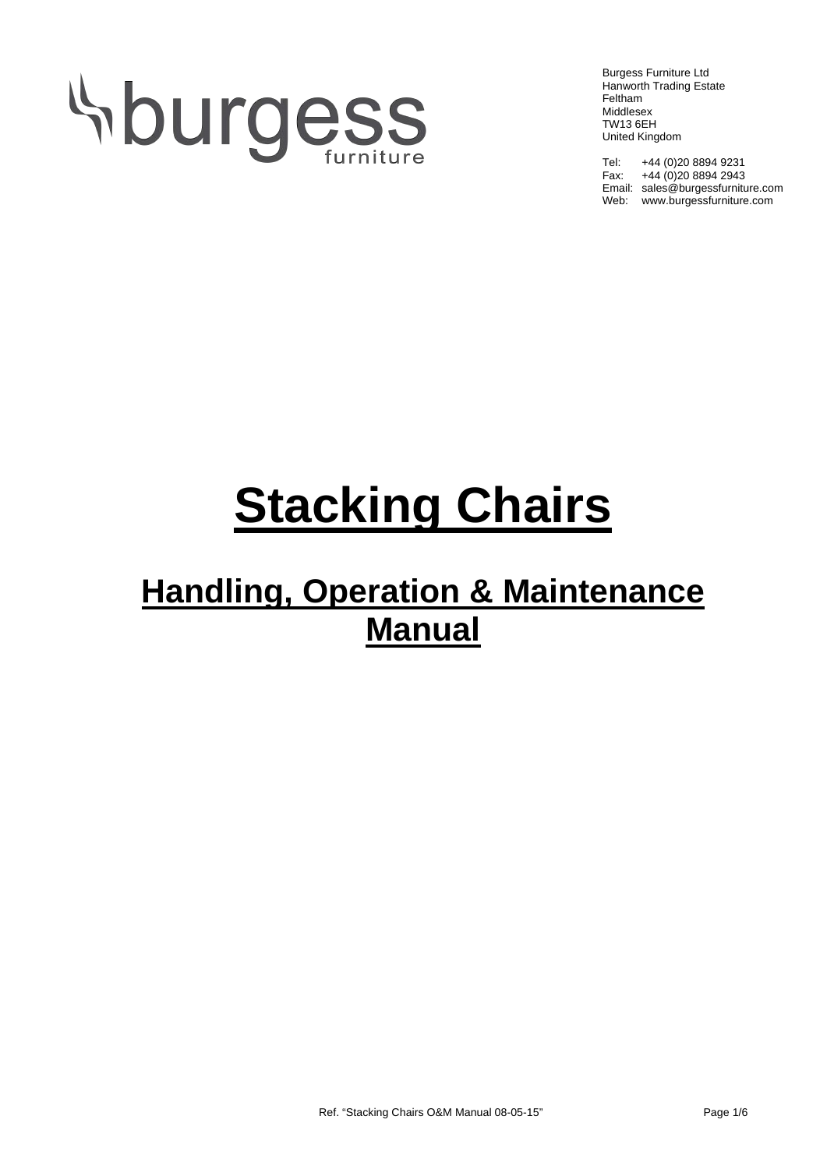# **Sburgess**

Burgess Furniture Ltd Hanworth Trading Estate Feltham Middlesex TW13 6EH United Kingdom

Tel: +44 (0)20 8894 9231 Fax: +44 (0)20 8894 2943 Email: sales@burgessfurniture.com Web: www.burgessfurniture.com

# **Stacking Chairs**

## **Handling, Operation & Maintenance Manual**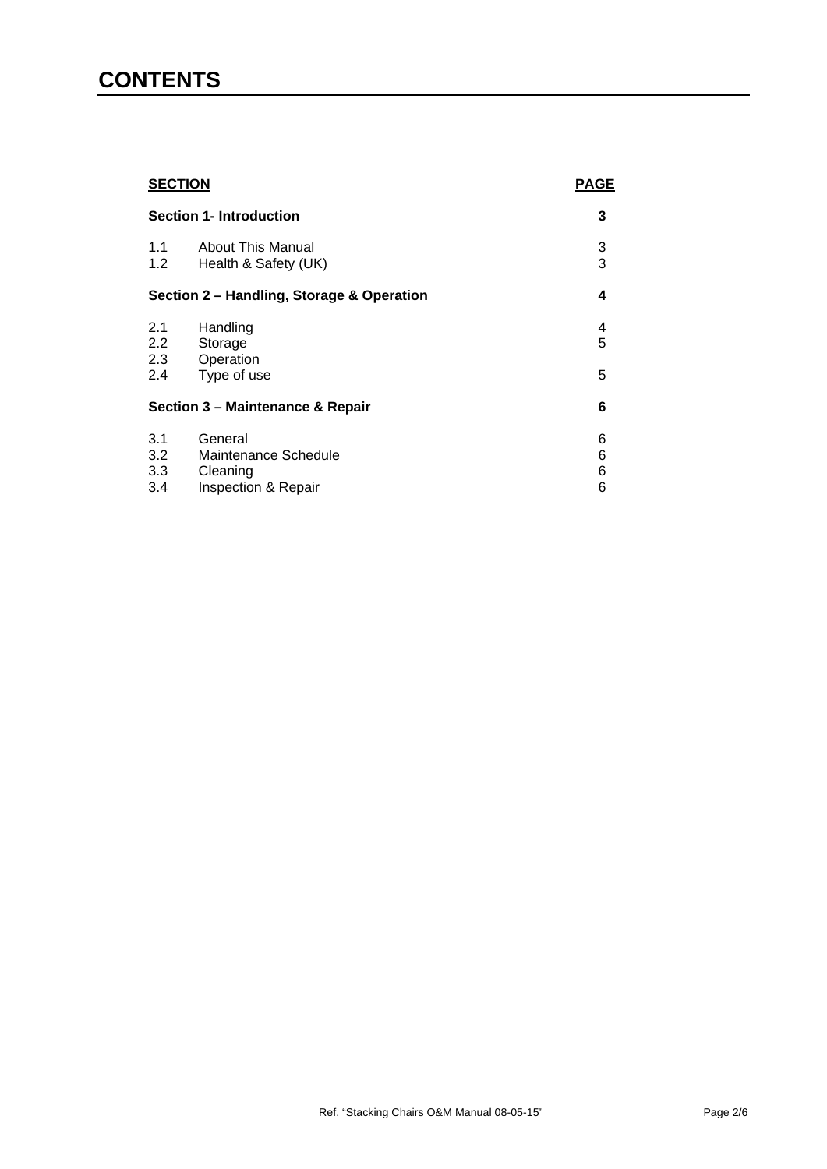### **CONTENTS**

| <b>SECTION</b>                            |                                                                    | <b>PAGE</b>      |
|-------------------------------------------|--------------------------------------------------------------------|------------------|
| <b>Section 1- Introduction</b>            |                                                                    | 3                |
| 1.1<br>1.2                                | <b>About This Manual</b><br>Health & Safety (UK)                   | 3<br>3           |
| Section 2 - Handling, Storage & Operation |                                                                    | 4                |
| 2.1<br>2.2<br>2.3                         | Handling<br>Storage<br>Operation                                   | 4<br>5           |
| 2.4                                       | Type of use                                                        | 5                |
| Section 3 - Maintenance & Repair          |                                                                    | 6                |
| 3.1<br>3.2<br>3.3<br>3.4                  | General<br>Maintenance Schedule<br>Cleaning<br>Inspection & Repair | 6<br>6<br>6<br>6 |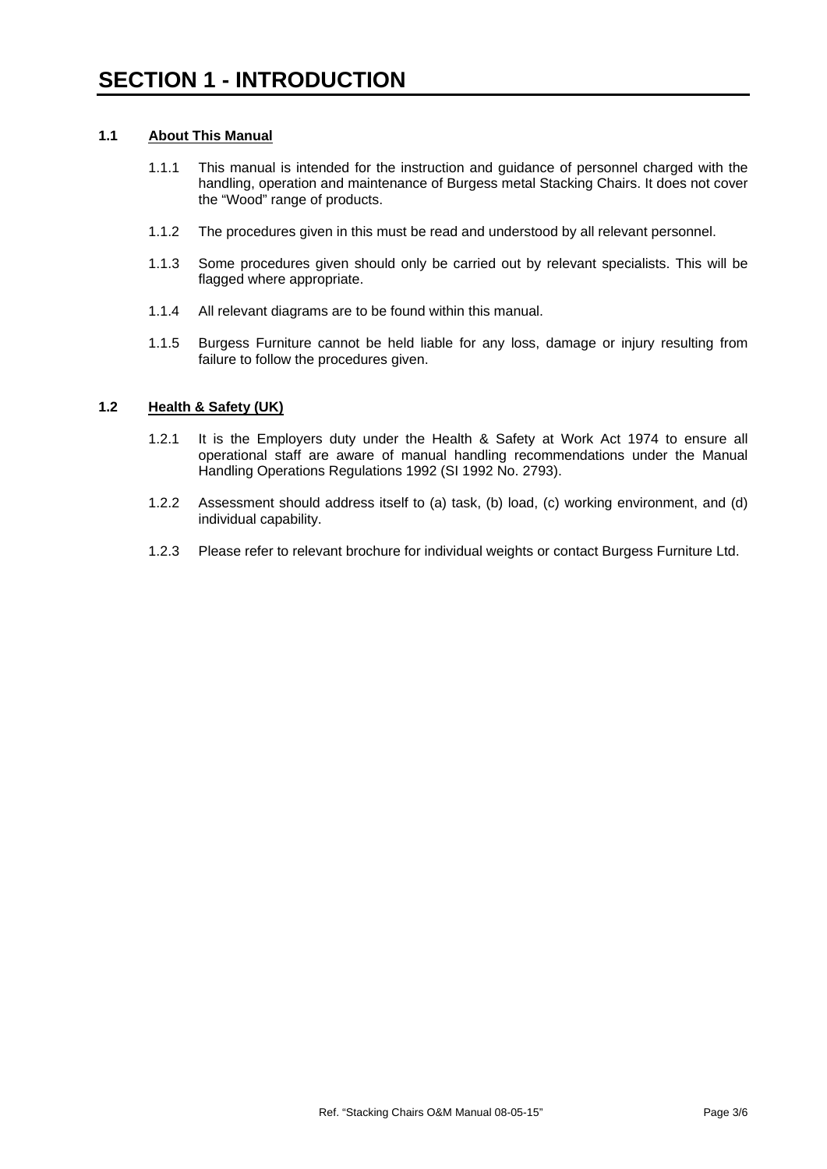#### **1.1 About This Manual**

- 1.1.1 This manual is intended for the instruction and guidance of personnel charged with the handling, operation and maintenance of Burgess metal Stacking Chairs. It does not cover the "Wood" range of products.
- 1.1.2 The procedures given in this must be read and understood by all relevant personnel.
- 1.1.3 Some procedures given should only be carried out by relevant specialists. This will be flagged where appropriate.
- 1.1.4 All relevant diagrams are to be found within this manual.
- 1.1.5 Burgess Furniture cannot be held liable for any loss, damage or injury resulting from failure to follow the procedures given.

#### **1.2 Health & Safety (UK)**

- 1.2.1 It is the Employers duty under the Health & Safety at Work Act 1974 to ensure all operational staff are aware of manual handling recommendations under the Manual Handling Operations Regulations 1992 (SI 1992 No. 2793).
- 1.2.2 Assessment should address itself to (a) task, (b) load, (c) working environment, and (d) individual capability.
- 1.2.3 Please refer to relevant brochure for individual weights or contact Burgess Furniture Ltd.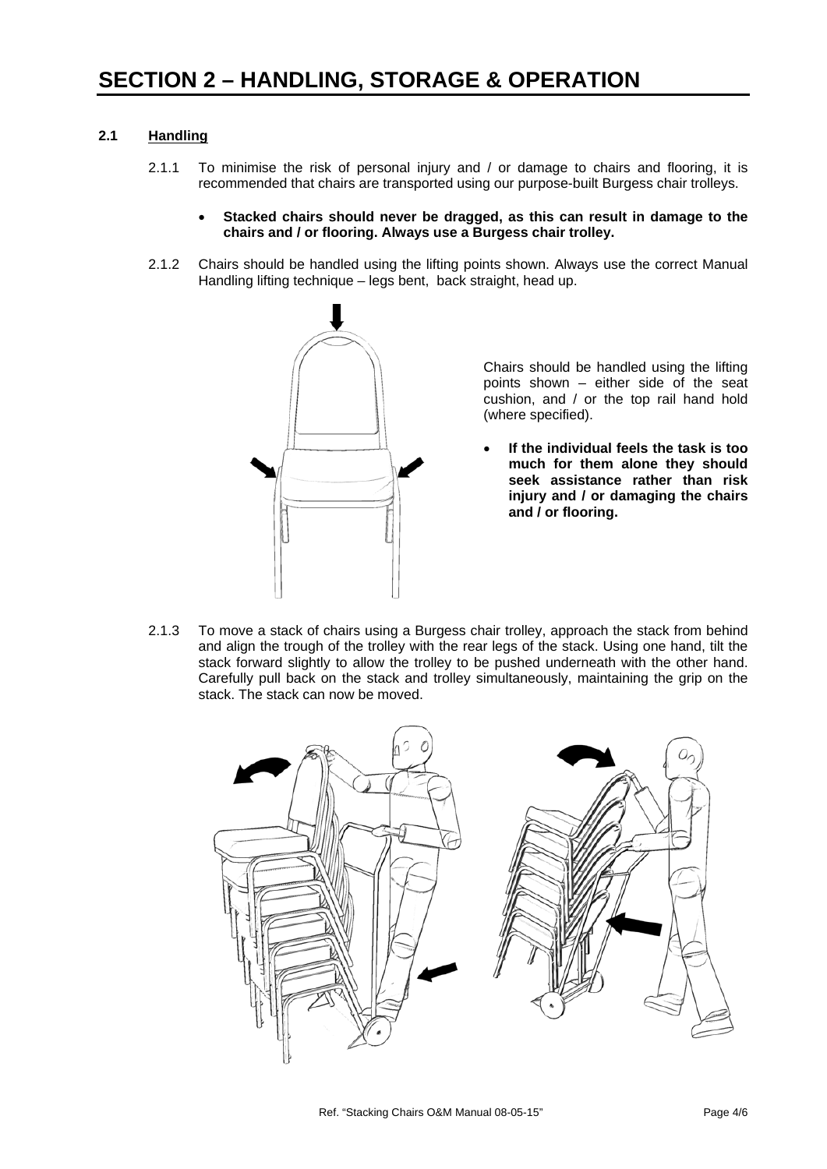#### **2.1 Handling**

- 2.1.1 To minimise the risk of personal injury and / or damage to chairs and flooring, it is recommended that chairs are transported using our purpose-built Burgess chair trolleys.
	- **Stacked chairs should never be dragged, as this can result in damage to the chairs and / or flooring. Always use a Burgess chair trolley.**
- 2.1.2 Chairs should be handled using the lifting points shown. Always use the correct Manual Handling lifting technique – legs bent, back straight, head up.



Chairs should be handled using the lifting points shown – either side of the seat cushion, and / or the top rail hand hold (where specified).

- **If the individual feels the task is too much for them alone they should seek assistance rather than risk injury and / or damaging the chairs and / or flooring.**
- 2.1.3 To move a stack of chairs using a Burgess chair trolley, approach the stack from behind and align the trough of the trolley with the rear legs of the stack. Using one hand, tilt the stack forward slightly to allow the trolley to be pushed underneath with the other hand. Carefully pull back on the stack and trolley simultaneously, maintaining the grip on the stack. The stack can now be moved.

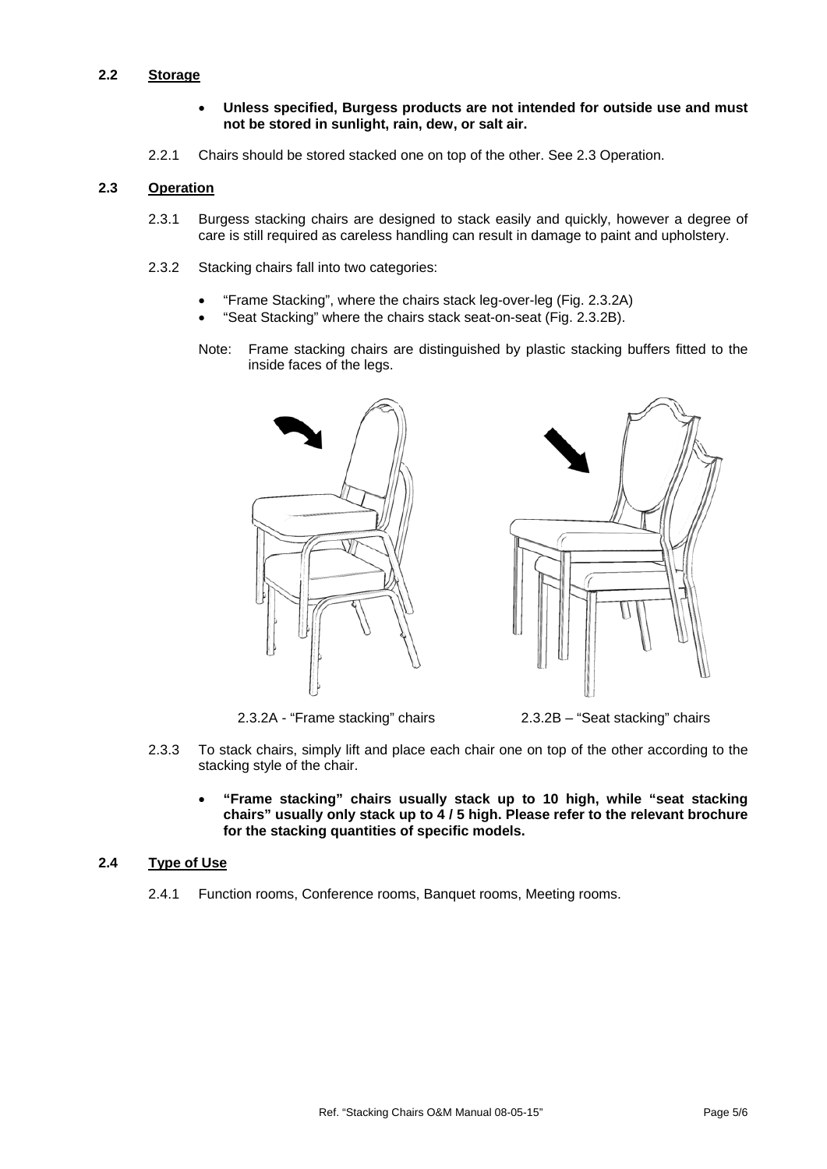#### **2.2 Storage**

- **Unless specified, Burgess products are not intended for outside use and must not be stored in sunlight, rain, dew, or salt air.**
- 2.2.1 Chairs should be stored stacked one on top of the other. See 2.3 Operation.

#### **2.3 Operation**

- 2.3.1 Burgess stacking chairs are designed to stack easily and quickly, however a degree of care is still required as careless handling can result in damage to paint and upholstery.
- 2.3.2 Stacking chairs fall into two categories:
	- "Frame Stacking", where the chairs stack leg-over-leg (Fig. 2.3.2A)
	- "Seat Stacking" where the chairs stack seat-on-seat (Fig. 2.3.2B).
	- Note: Frame stacking chairs are distinguished by plastic stacking buffers fitted to the inside faces of the legs.





2.3.2A - "Frame stacking" chairs 2.3.2B – "Seat stacking" chairs

- 2.3.3 To stack chairs, simply lift and place each chair one on top of the other according to the stacking style of the chair.
	- **"Frame stacking" chairs usually stack up to 10 high, while "seat stacking chairs" usually only stack up to 4 / 5 high. Please refer to the relevant brochure for the stacking quantities of specific models.**

#### **2.4 Type of Use**

2.4.1 Function rooms, Conference rooms, Banquet rooms, Meeting rooms.